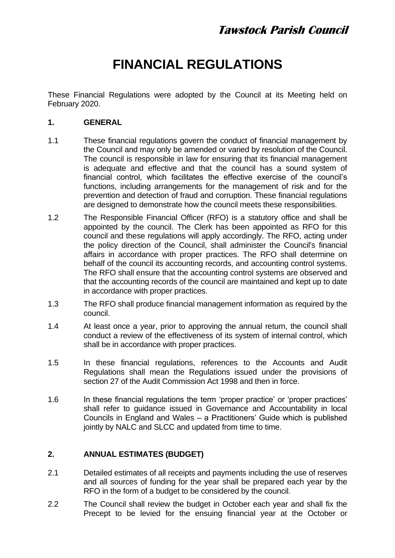# **FINANCIAL REGULATIONS**

These Financial Regulations were adopted by the Council at its Meeting held on February 2020.

#### **1. GENERAL**

- 1.1 These financial regulations govern the conduct of financial management by the Council and may only be amended or varied by resolution of the Council. The council is responsible in law for ensuring that its financial management is adequate and effective and that the council has a sound system of financial control, which facilitates the effective exercise of the council's functions, including arrangements for the management of risk and for the prevention and detection of fraud and corruption. These financial regulations are designed to demonstrate how the council meets these responsibilities.
- 1.2 The Responsible Financial Officer (RFO) is a statutory office and shall be appointed by the council. The Clerk has been appointed as RFO for this council and these regulations will apply accordingly. The RFO, acting under the policy direction of the Council, shall administer the Council's financial affairs in accordance with proper practices. The RFO shall determine on behalf of the council its accounting records, and accounting control systems. The RFO shall ensure that the accounting control systems are observed and that the accounting records of the council are maintained and kept up to date in accordance with proper practices.
- 1.3 The RFO shall produce financial management information as required by the council.
- 1.4 At least once a year, prior to approving the annual return, the council shall conduct a review of the effectiveness of its system of internal control, which shall be in accordance with proper practices.
- 1.5 In these financial regulations, references to the Accounts and Audit Regulations shall mean the Regulations issued under the provisions of section 27 of the Audit Commission Act 1998 and then in force.
- 1.6 In these financial regulations the term 'proper practice' or 'proper practices' shall refer to guidance issued in Governance and Accountability in local Councils in England and Wales – a Practitioners' Guide which is published jointly by NALC and SLCC and updated from time to time.

# **2. ANNUAL ESTIMATES (BUDGET)**

- 2.1 Detailed estimates of all receipts and payments including the use of reserves and all sources of funding for the year shall be prepared each year by the RFO in the form of a budget to be considered by the council.
- 2.2 The Council shall review the budget in October each year and shall fix the Precept to be levied for the ensuing financial year at the October or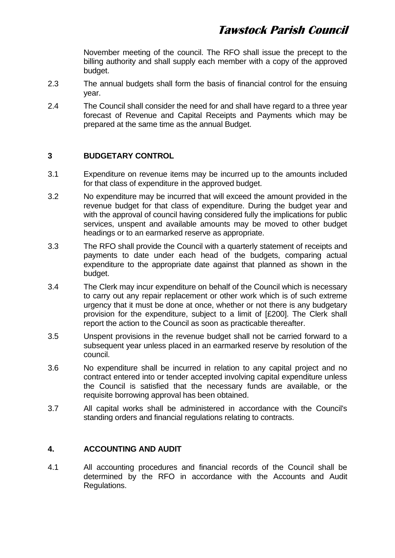November meeting of the council. The RFO shall issue the precept to the billing authority and shall supply each member with a copy of the approved budget.

- 2.3 The annual budgets shall form the basis of financial control for the ensuing year.
- 2.4 The Council shall consider the need for and shall have regard to a three year forecast of Revenue and Capital Receipts and Payments which may be prepared at the same time as the annual Budget.

# **3 BUDGETARY CONTROL**

- 3.1 Expenditure on revenue items may be incurred up to the amounts included for that class of expenditure in the approved budget.
- 3.2 No expenditure may be incurred that will exceed the amount provided in the revenue budget for that class of expenditure. During the budget year and with the approval of council having considered fully the implications for public services, unspent and available amounts may be moved to other budget headings or to an earmarked reserve as appropriate.
- 3.3 The RFO shall provide the Council with a quarterly statement of receipts and payments to date under each head of the budgets, comparing actual expenditure to the appropriate date against that planned as shown in the budget.
- 3.4 The Clerk may incur expenditure on behalf of the Council which is necessary to carry out any repair replacement or other work which is of such extreme urgency that it must be done at once, whether or not there is any budgetary provision for the expenditure, subject to a limit of [£200]. The Clerk shall report the action to the Council as soon as practicable thereafter.
- 3.5 Unspent provisions in the revenue budget shall not be carried forward to a subsequent year unless placed in an earmarked reserve by resolution of the council.
- 3.6 No expenditure shall be incurred in relation to any capital project and no contract entered into or tender accepted involving capital expenditure unless the Council is satisfied that the necessary funds are available, or the requisite borrowing approval has been obtained.
- 3.7 All capital works shall be administered in accordance with the Council's standing orders and financial regulations relating to contracts.

#### **4. ACCOUNTING AND AUDIT**

4.1 All accounting procedures and financial records of the Council shall be determined by the RFO in accordance with the Accounts and Audit Regulations.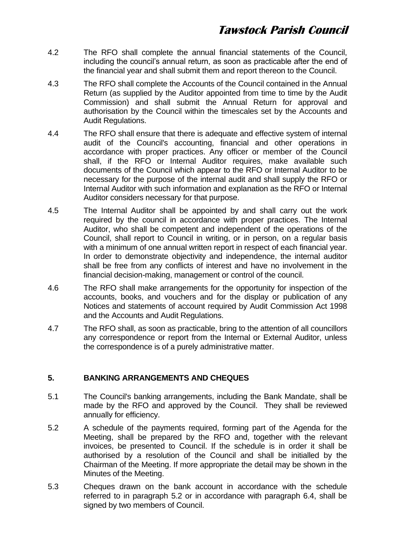- 4.2 The RFO shall complete the annual financial statements of the Council, including the council's annual return, as soon as practicable after the end of the financial year and shall submit them and report thereon to the Council.
- 4.3 The RFO shall complete the Accounts of the Council contained in the Annual Return (as supplied by the Auditor appointed from time to time by the Audit Commission) and shall submit the Annual Return for approval and authorisation by the Council within the timescales set by the Accounts and Audit Regulations.
- 4.4 The RFO shall ensure that there is adequate and effective system of internal audit of the Council's accounting, financial and other operations in accordance with proper practices. Any officer or member of the Council shall, if the RFO or Internal Auditor requires, make available such documents of the Council which appear to the RFO or Internal Auditor to be necessary for the purpose of the internal audit and shall supply the RFO or Internal Auditor with such information and explanation as the RFO or Internal Auditor considers necessary for that purpose.
- 4.5 The Internal Auditor shall be appointed by and shall carry out the work required by the council in accordance with proper practices. The Internal Auditor, who shall be competent and independent of the operations of the Council, shall report to Council in writing, or in person, on a regular basis with a minimum of one annual written report in respect of each financial year. In order to demonstrate objectivity and independence, the internal auditor shall be free from any conflicts of interest and have no involvement in the financial decision-making, management or control of the council.
- 4.6 The RFO shall make arrangements for the opportunity for inspection of the accounts, books, and vouchers and for the display or publication of any Notices and statements of account required by Audit Commission Act 1998 and the Accounts and Audit Regulations.
- 4.7 The RFO shall, as soon as practicable, bring to the attention of all councillors any correspondence or report from the Internal or External Auditor, unless the correspondence is of a purely administrative matter.

#### **5. BANKING ARRANGEMENTS AND CHEQUES**

- 5.1 The Council's banking arrangements, including the Bank Mandate, shall be made by the RFO and approved by the Council. They shall be reviewed annually for efficiency.
- 5.2 A schedule of the payments required, forming part of the Agenda for the Meeting, shall be prepared by the RFO and, together with the relevant invoices, be presented to Council. If the schedule is in order it shall be authorised by a resolution of the Council and shall be initialled by the Chairman of the Meeting. If more appropriate the detail may be shown in the Minutes of the Meeting.
- 5.3 Cheques drawn on the bank account in accordance with the schedule referred to in paragraph 5.2 or in accordance with paragraph 6.4, shall be signed by two members of Council.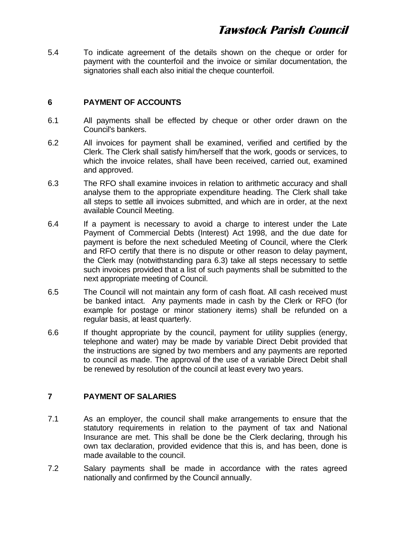5.4 To indicate agreement of the details shown on the cheque or order for payment with the counterfoil and the invoice or similar documentation, the signatories shall each also initial the cheque counterfoil.

### **6 PAYMENT OF ACCOUNTS**

- 6.1 All payments shall be effected by cheque or other order drawn on the Council's bankers.
- 6.2 All invoices for payment shall be examined, verified and certified by the Clerk. The Clerk shall satisfy him/herself that the work, goods or services, to which the invoice relates, shall have been received, carried out, examined and approved.
- 6.3 The RFO shall examine invoices in relation to arithmetic accuracy and shall analyse them to the appropriate expenditure heading. The Clerk shall take all steps to settle all invoices submitted, and which are in order, at the next available Council Meeting.
- 6.4 If a payment is necessary to avoid a charge to interest under the Late Payment of Commercial Debts (Interest) Act 1998, and the due date for payment is before the next scheduled Meeting of Council, where the Clerk and RFO certify that there is no dispute or other reason to delay payment, the Clerk may (notwithstanding para 6.3) take all steps necessary to settle such invoices provided that a list of such payments shall be submitted to the next appropriate meeting of Council.
- 6.5 The Council will not maintain any form of cash float. All cash received must be banked intact. Any payments made in cash by the Clerk or RFO (for example for postage or minor stationery items) shall be refunded on a regular basis, at least quarterly.
- 6.6 If thought appropriate by the council, payment for utility supplies (energy, telephone and water) may be made by variable Direct Debit provided that the instructions are signed by two members and any payments are reported to council as made. The approval of the use of a variable Direct Debit shall be renewed by resolution of the council at least every two years.

#### **7 PAYMENT OF SALARIES**

- 7.1 As an employer, the council shall make arrangements to ensure that the statutory requirements in relation to the payment of tax and National Insurance are met. This shall be done be the Clerk declaring, through his own tax declaration, provided evidence that this is, and has been, done is made available to the council.
- 7.2 Salary payments shall be made in accordance with the rates agreed nationally and confirmed by the Council annually.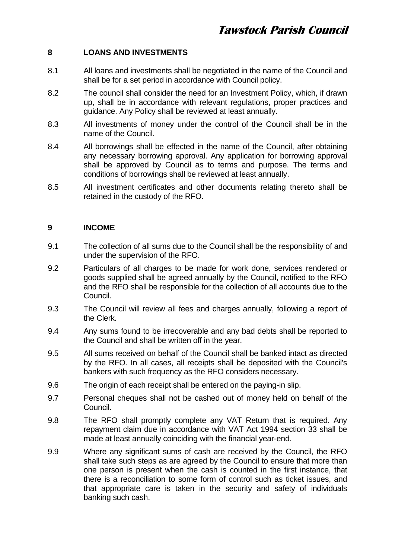### **8 LOANS AND INVESTMENTS**

- 8.1 All loans and investments shall be negotiated in the name of the Council and shall be for a set period in accordance with Council policy.
- 8.2 The council shall consider the need for an Investment Policy, which, if drawn up, shall be in accordance with relevant regulations, proper practices and guidance. Any Policy shall be reviewed at least annually.
- 8.3 All investments of money under the control of the Council shall be in the name of the Council.
- 8.4 All borrowings shall be effected in the name of the Council, after obtaining any necessary borrowing approval. Any application for borrowing approval shall be approved by Council as to terms and purpose. The terms and conditions of borrowings shall be reviewed at least annually.
- 8.5 All investment certificates and other documents relating thereto shall be retained in the custody of the RFO.

#### **9 INCOME**

- 9.1 The collection of all sums due to the Council shall be the responsibility of and under the supervision of the RFO.
- 9.2 Particulars of all charges to be made for work done, services rendered or goods supplied shall be agreed annually by the Council, notified to the RFO and the RFO shall be responsible for the collection of all accounts due to the Council.
- 9.3 The Council will review all fees and charges annually, following a report of the Clerk.
- 9.4 Any sums found to be irrecoverable and any bad debts shall be reported to the Council and shall be written off in the year.
- 9.5 All sums received on behalf of the Council shall be banked intact as directed by the RFO. In all cases, all receipts shall be deposited with the Council's bankers with such frequency as the RFO considers necessary.
- 9.6 The origin of each receipt shall be entered on the paying-in slip.
- 9.7 Personal cheques shall not be cashed out of money held on behalf of the Council.
- 9.8 The RFO shall promptly complete any VAT Return that is required. Any repayment claim due in accordance with VAT Act 1994 section 33 shall be made at least annually coinciding with the financial year-end.
- 9.9 Where any significant sums of cash are received by the Council, the RFO shall take such steps as are agreed by the Council to ensure that more than one person is present when the cash is counted in the first instance, that there is a reconciliation to some form of control such as ticket issues, and that appropriate care is taken in the security and safety of individuals banking such cash.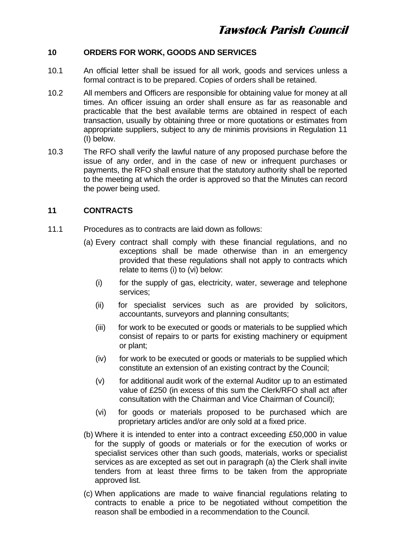### **10 ORDERS FOR WORK, GOODS AND SERVICES**

- 10.1 An official letter shall be issued for all work, goods and services unless a formal contract is to be prepared. Copies of orders shall be retained.
- 10.2 All members and Officers are responsible for obtaining value for money at all times. An officer issuing an order shall ensure as far as reasonable and practicable that the best available terms are obtained in respect of each transaction, usually by obtaining three or more quotations or estimates from appropriate suppliers, subject to any de minimis provisions in Regulation 11 (I) below.
- 10.3 The RFO shall verify the lawful nature of any proposed purchase before the issue of any order, and in the case of new or infrequent purchases or payments, the RFO shall ensure that the statutory authority shall be reported to the meeting at which the order is approved so that the Minutes can record the power being used.

### **11 CONTRACTS**

- 11.1 Procedures as to contracts are laid down as follows:
	- (a) Every contract shall comply with these financial regulations, and no exceptions shall be made otherwise than in an emergency provided that these regulations shall not apply to contracts which relate to items (i) to (vi) below:
		- (i) for the supply of gas, electricity, water, sewerage and telephone services;
		- (ii) for specialist services such as are provided by solicitors, accountants, surveyors and planning consultants;
		- (iii) for work to be executed or goods or materials to be supplied which consist of repairs to or parts for existing machinery or equipment or plant;
		- (iv) for work to be executed or goods or materials to be supplied which constitute an extension of an existing contract by the Council;
		- (v) for additional audit work of the external Auditor up to an estimated value of £250 (in excess of this sum the Clerk/RFO shall act after consultation with the Chairman and Vice Chairman of Council);
		- (vi) for goods or materials proposed to be purchased which are proprietary articles and/or are only sold at a fixed price.
	- (b) Where it is intended to enter into a contract exceeding £50,000 in value for the supply of goods or materials or for the execution of works or specialist services other than such goods, materials, works or specialist services as are excepted as set out in paragraph (a) the Clerk shall invite tenders from at least three firms to be taken from the appropriate approved list.
	- (c) When applications are made to waive financial regulations relating to contracts to enable a price to be negotiated without competition the reason shall be embodied in a recommendation to the Council.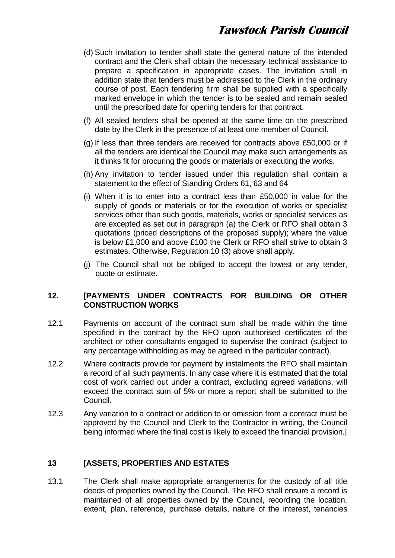- (d) Such invitation to tender shall state the general nature of the intended contract and the Clerk shall obtain the necessary technical assistance to prepare a specification in appropriate cases. The invitation shall in addition state that tenders must be addressed to the Clerk in the ordinary course of post. Each tendering firm shall be supplied with a specifically marked envelope in which the tender is to be sealed and remain sealed until the prescribed date for opening tenders for that contract.
- (f) All sealed tenders shall be opened at the same time on the prescribed date by the Clerk in the presence of at least one member of Council.
- (g) If less than three tenders are received for contracts above £50,000 or if all the tenders are identical the Council may make such arrangements as it thinks fit for procuring the goods or materials or executing the works.
- (h) Any invitation to tender issued under this regulation shall contain a statement to the effect of Standing Orders 61, 63 and 64
- (i) When it is to enter into a contract less than £50,000 in value for the supply of goods or materials or for the execution of works or specialist services other than such goods, materials, works or specialist services as are excepted as set out in paragraph (a) the Clerk or RFO shall obtain 3 quotations (priced descriptions of the proposed supply); where the value is below £1,000 and above £100 the Clerk or RFO shall strive to obtain 3 estimates. Otherwise, Regulation 10 (3) above shall apply.
- (j) The Council shall not be obliged to accept the lowest or any tender, quote or estimate.

#### **12. [PAYMENTS UNDER CONTRACTS FOR BUILDING OR OTHER CONSTRUCTION WORKS**

- 12.1 Payments on account of the contract sum shall be made within the time specified in the contract by the RFO upon authorised certificates of the architect or other consultants engaged to supervise the contract (subject to any percentage withholding as may be agreed in the particular contract).
- 12.2 Where contracts provide for payment by instalments the RFO shall maintain a record of all such payments. In any case where it is estimated that the total cost of work carried out under a contract, excluding agreed variations, will exceed the contract sum of 5% or more a report shall be submitted to the Council.
- 12.3 Any variation to a contract or addition to or omission from a contract must be approved by the Council and Clerk to the Contractor in writing, the Council being informed where the final cost is likely to exceed the financial provision.]

#### **13 [ASSETS, PROPERTIES AND ESTATES**

13.1 The Clerk shall make appropriate arrangements for the custody of all title deeds of properties owned by the Council. The RFO shall ensure a record is maintained of all properties owned by the Council, recording the location, extent, plan, reference, purchase details, nature of the interest, tenancies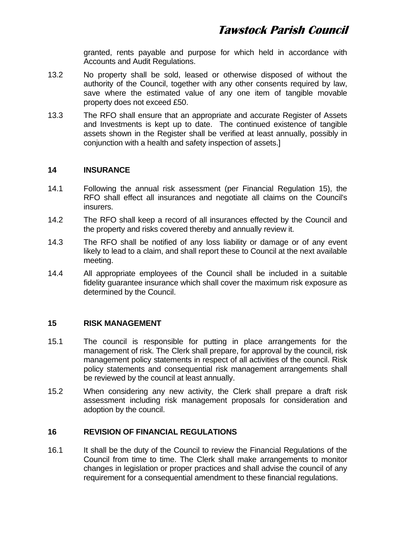granted, rents payable and purpose for which held in accordance with Accounts and Audit Regulations.

- 13.2 No property shall be sold, leased or otherwise disposed of without the authority of the Council, together with any other consents required by law. save where the estimated value of any one item of tangible movable property does not exceed £50.
- 13.3 The RFO shall ensure that an appropriate and accurate Register of Assets and Investments is kept up to date. The continued existence of tangible assets shown in the Register shall be verified at least annually, possibly in conjunction with a health and safety inspection of assets.]

#### **14 INSURANCE**

- 14.1 Following the annual risk assessment (per Financial Regulation 15), the RFO shall effect all insurances and negotiate all claims on the Council's insurers.
- 14.2 The RFO shall keep a record of all insurances effected by the Council and the property and risks covered thereby and annually review it.
- 14.3 The RFO shall be notified of any loss liability or damage or of any event likely to lead to a claim, and shall report these to Council at the next available meeting.
- 14.4 All appropriate employees of the Council shall be included in a suitable fidelity guarantee insurance which shall cover the maximum risk exposure as determined by the Council.

#### **15 RISK MANAGEMENT**

- 15.1 The council is responsible for putting in place arrangements for the management of risk. The Clerk shall prepare, for approval by the council, risk management policy statements in respect of all activities of the council. Risk policy statements and consequential risk management arrangements shall be reviewed by the council at least annually.
- 15.2 When considering any new activity, the Clerk shall prepare a draft risk assessment including risk management proposals for consideration and adoption by the council.

#### **16 REVISION OF FINANCIAL REGULATIONS**

16.1 It shall be the duty of the Council to review the Financial Regulations of the Council from time to time. The Clerk shall make arrangements to monitor changes in legislation or proper practices and shall advise the council of any requirement for a consequential amendment to these financial regulations.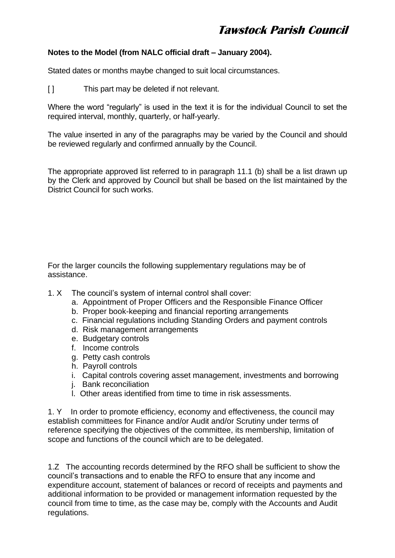### **Notes to the Model (from NALC official draft – January 2004).**

Stated dates or months maybe changed to suit local circumstances.

[ ] This part may be deleted if not relevant.

Where the word "regularly" is used in the text it is for the individual Council to set the required interval, monthly, quarterly, or half-yearly.

The value inserted in any of the paragraphs may be varied by the Council and should be reviewed regularly and confirmed annually by the Council.

The appropriate approved list referred to in paragraph 11.1 (b) shall be a list drawn up by the Clerk and approved by Council but shall be based on the list maintained by the District Council for such works.

For the larger councils the following supplementary regulations may be of assistance.

- 1. X The council's system of internal control shall cover:
	- a. Appointment of Proper Officers and the Responsible Finance Officer
	- b. Proper book-keeping and financial reporting arrangements
	- c. Financial regulations including Standing Orders and payment controls
	- d. Risk management arrangements
	- e. Budgetary controls
	- f. Income controls
	- g. Petty cash controls
	- h. Payroll controls
	- i. Capital controls covering asset management, investments and borrowing
	- j. Bank reconciliation
	- l. Other areas identified from time to time in risk assessments.

1. Y In order to promote efficiency, economy and effectiveness, the council may establish committees for Finance and/or Audit and/or Scrutiny under terms of reference specifying the objectives of the committee, its membership, limitation of scope and functions of the council which are to be delegated.

1.Z The accounting records determined by the RFO shall be sufficient to show the council's transactions and to enable the RFO to ensure that any income and expenditure account, statement of balances or record of receipts and payments and additional information to be provided or management information requested by the council from time to time, as the case may be, comply with the Accounts and Audit regulations.